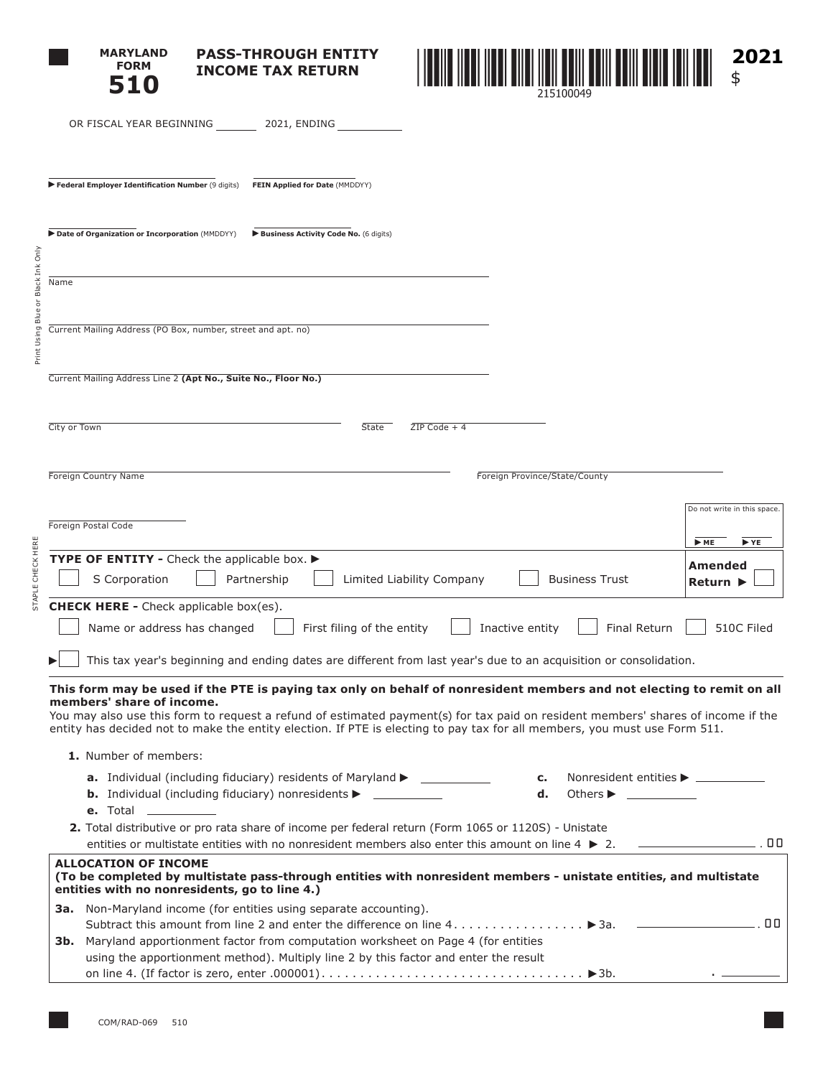| <b>MARYLAND</b> |
|-----------------|
| <b>FORM</b>     |
| <b>510</b>      |

STAPLE CHECK HERE

**PASS-THROUGH ENTITY INCOME TAX RETURN**



|                                            | OR FISCAL YEAR BEGINNING 2021, ENDING                                                                                                                                                                                                                                                                                                                                                                               |                                                                          |
|--------------------------------------------|---------------------------------------------------------------------------------------------------------------------------------------------------------------------------------------------------------------------------------------------------------------------------------------------------------------------------------------------------------------------------------------------------------------------|--------------------------------------------------------------------------|
|                                            |                                                                                                                                                                                                                                                                                                                                                                                                                     |                                                                          |
|                                            | FEIN Applied for Date (MMDDYY)<br>Federal Employer Identification Number (9 digits)                                                                                                                                                                                                                                                                                                                                 |                                                                          |
|                                            | Date of Organization or Incorporation (MMDDYY)<br>Business Activity Code No. (6 digits)                                                                                                                                                                                                                                                                                                                             |                                                                          |
| Print Using Blue or Black Ink Only<br>Name |                                                                                                                                                                                                                                                                                                                                                                                                                     |                                                                          |
|                                            | Current Mailing Address (PO Box, number, street and apt. no)                                                                                                                                                                                                                                                                                                                                                        |                                                                          |
|                                            | Current Mailing Address Line 2 (Apt No., Suite No., Floor No.)                                                                                                                                                                                                                                                                                                                                                      |                                                                          |
|                                            | City or Town<br><b>State</b><br>$ZIP Code + 4$                                                                                                                                                                                                                                                                                                                                                                      |                                                                          |
|                                            | <b>Foreign Country Name</b><br>Foreign Province/State/County                                                                                                                                                                                                                                                                                                                                                        |                                                                          |
| ŭ<br>5                                     | Foreign Postal Code<br>TYPE OF ENTITY - Check the applicable box.<br>S Corporation<br>Limited Liability Company<br>Partnership<br><b>Business Trust</b>                                                                                                                                                                                                                                                             | Do not write in this space.<br>ME<br>$\blacktriangleright$ YE<br>Amended |
|                                            | <b>CHECK HERE -</b> Check applicable box(es).<br>First filing of the entity<br>Inactive entity<br>Final Return<br>Name or address has changed<br>This tax year's beginning and ending dates are different from last year's due to an acquisition or consolidation.                                                                                                                                                  | Return  <br>510C Filed                                                   |
|                                            | This form may be used if the PTE is paying tax only on behalf of nonresident members and not electing to remit on all<br>members' share of income.<br>You may also use this form to request a refund of estimated payment(s) for tax paid on resident members' shares of income if the<br>entity has decided not to make the entity election. If PTE is electing to pay tax for all members, you must use Form 511. |                                                                          |
|                                            | 1. Number of members:<br><b>a.</b> Individual (including fiduciary) residents of Maryland $\triangleright$ ______________<br>Nonresident entities ▶ <u>________</u><br>c.<br><b>b.</b> Individual (including fiduciary) nonresidents $\triangleright$ _____________<br>d.<br><b>e.</b> Total ___________<br>2. Total distributive or pro rata share of income per federal return (Form 1065 or 1120S) - Unistate    |                                                                          |
|                                            | <b>ALLOCATION OF INCOME</b><br>(To be completed by multistate pass-through entities with nonresident members - unistate entities, and multistate                                                                                                                                                                                                                                                                    |                                                                          |
|                                            | entities with no nonresidents, go to line 4.)<br><b>3a.</b> Non-Maryland income (for entities using separate accounting).                                                                                                                                                                                                                                                                                           |                                                                          |
|                                            | 3b. Maryland apportionment factor from computation worksheet on Page 4 (for entities<br>using the apportionment method). Multiply line 2 by this factor and enter the result                                                                                                                                                                                                                                        |                                                                          |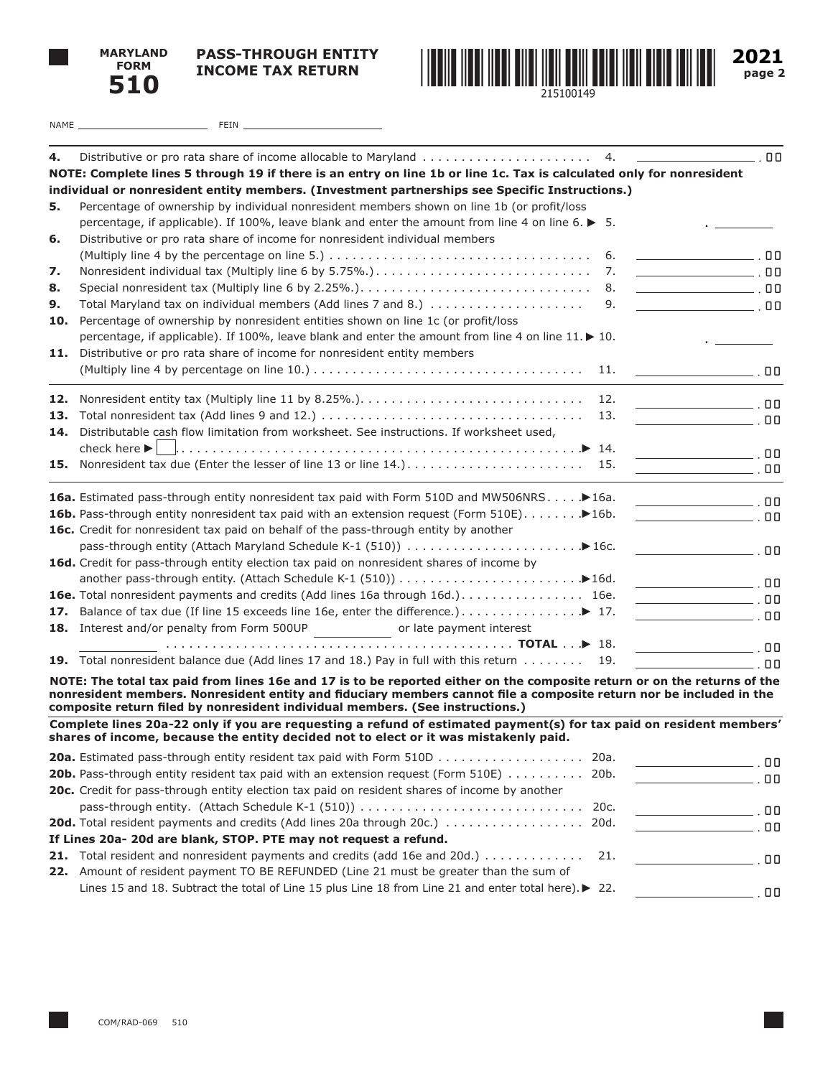

**PASS-THROUGH ENTITY INCOME TAX RETURN**



**2021 page 2**

| NAME | T<br>1 I V |  |
|------|------------|--|
|      |            |  |

| 4.  | 4.                                                                                                                                                                                                          | $\overline{\phantom{0}}$ .00                                                                                                                                      |
|-----|-------------------------------------------------------------------------------------------------------------------------------------------------------------------------------------------------------------|-------------------------------------------------------------------------------------------------------------------------------------------------------------------|
|     | NOTE: Complete lines 5 through 19 if there is an entry on line 1b or line 1c. Tax is calculated only for nonresident                                                                                        |                                                                                                                                                                   |
|     | individual or nonresident entity members. (Investment partnerships see Specific Instructions.)                                                                                                              |                                                                                                                                                                   |
| 5.  | Percentage of ownership by individual nonresident members shown on line 1b (or profit/loss                                                                                                                  |                                                                                                                                                                   |
|     | percentage, if applicable). If 100%, leave blank and enter the amount from line 4 on line 6. $\blacktriangleright$ 5.                                                                                       |                                                                                                                                                                   |
| 6.  | Distributive or pro rata share of income for nonresident individual members                                                                                                                                 |                                                                                                                                                                   |
|     | (Multiply line 4 by the percentage on line 5.) $\dots \dots \dots \dots \dots \dots \dots \dots \dots \dots \dots \dots \dots$<br>6.                                                                        |                                                                                                                                                                   |
| 7.  | 7.                                                                                                                                                                                                          | $\overline{\phantom{iiiiiiiiiiiiiiiiiiiiiiiiiiiiiiiiiiiiiiiiii}}$ .00                                                                                             |
| 8.  | 8.                                                                                                                                                                                                          | $\overline{\phantom{iiiiiiiiiiiiiiiiiiiiiiiiiiiiiiiiiiiiiiii}}$ . 00                                                                                              |
| 9.  | 9.                                                                                                                                                                                                          |                                                                                                                                                                   |
| 10. | Percentage of ownership by nonresident entities shown on line 1c (or profit/loss                                                                                                                            |                                                                                                                                                                   |
|     | percentage, if applicable). If 100%, leave blank and enter the amount from line 4 on line 11. ▶ 10.                                                                                                         |                                                                                                                                                                   |
| 11. | Distributive or pro rata share of income for nonresident entity members                                                                                                                                     |                                                                                                                                                                   |
|     | 11.                                                                                                                                                                                                         |                                                                                                                                                                   |
| 12. | 12.                                                                                                                                                                                                         |                                                                                                                                                                   |
| 13. | 13.                                                                                                                                                                                                         |                                                                                                                                                                   |
|     | 14. Distributable cash flow limitation from worksheet. See instructions. If worksheet used,                                                                                                                 |                                                                                                                                                                   |
|     | check here $\blacktriangleright$                                                                                                                                                                            |                                                                                                                                                                   |
| 15. | Nonresident tax due (Enter the lesser of line 13 or line 14.)<br>15.                                                                                                                                        |                                                                                                                                                                   |
|     |                                                                                                                                                                                                             | $\overline{\phantom{a}}$ , 00                                                                                                                                     |
|     | 16a. Estimated pass-through entity nonresident tax paid with Form 510D and MW506NRS > 16a.                                                                                                                  |                                                                                                                                                                   |
|     | 16b. Pass-through entity nonresident tax paid with an extension request (Form 510E). 16b.                                                                                                                   | <u>na matang pangangan sa mga mga sang</u>                                                                                                                        |
|     | 16c. Credit for nonresident tax paid on behalf of the pass-through entity by another                                                                                                                        |                                                                                                                                                                   |
|     |                                                                                                                                                                                                             |                                                                                                                                                                   |
|     | 16d. Credit for pass-through entity election tax paid on nonresident shares of income by                                                                                                                    |                                                                                                                                                                   |
|     |                                                                                                                                                                                                             |                                                                                                                                                                   |
|     | <b>16e.</b> Total nonresident payments and credits (Add lines 16a through 16d.) 16e.                                                                                                                        |                                                                                                                                                                   |
| 17. | Balance of tax due (If line 15 exceeds line 16e, enter the difference.) ▶ 17.                                                                                                                               |                                                                                                                                                                   |
|     | 18. Interest and/or penalty from Form 500UP<br>or late payment interest                                                                                                                                     |                                                                                                                                                                   |
|     |                                                                                                                                                                                                             | $\overline{\phantom{a}}$ . $\overline{\phantom{a}}$ . $\overline{\phantom{a}}$ . $\overline{\phantom{a}}$ . $\overline{\phantom{a}}$ . $\overline{\phantom{a}}$ . |
|     | 19. Total nonresident balance due (Add lines 17 and 18.) Pay in full with this return<br>19.                                                                                                                | $\blacksquare$ . The contract of $\blacksquare$                                                                                                                   |
|     | NOTE: The total tax paid from lines 16e and 17 is to be reported either on the composite return or on the returns of the                                                                                    |                                                                                                                                                                   |
|     | nonresident members. Nonresident entity and fiduciary members cannot file a composite return nor be included in the<br>composite return filed by nonresident individual members. (See instructions.)        |                                                                                                                                                                   |
|     | Complete lines 20a-22 only if you are requesting a refund of estimated payment(s) for tax paid on resident members'<br>shares of income, because the entity decided not to elect or it was mistakenly paid. |                                                                                                                                                                   |
|     |                                                                                                                                                                                                             |                                                                                                                                                                   |
|     | <b>20a.</b> Estimated pass-through entity resident tax paid with Form 510D 20a.                                                                                                                             | $\overline{\phantom{a}}$ . $\overline{\phantom{a}}$ . $\overline{\phantom{a}}$ . $\overline{\phantom{a}}$ . $\overline{\phantom{a}}$ . $\overline{\phantom{a}}$ . |
|     | <b>20b.</b> Pass-through entity resident tax paid with an extension request (Form 510E) 20b.                                                                                                                |                                                                                                                                                                   |
|     | 20c. Credit for pass-through entity election tax paid on resident shares of income by another                                                                                                               |                                                                                                                                                                   |
|     |                                                                                                                                                                                                             | $\overline{\phantom{a}}$ , 00                                                                                                                                     |
|     | 20d. Total resident payments and credits (Add lines 20a through 20c.)  20d.                                                                                                                                 | $\overline{\phantom{a}}$ , 00                                                                                                                                     |
|     | If Lines 20a- 20d are blank, STOP. PTE may not request a refund.                                                                                                                                            |                                                                                                                                                                   |

|  | 21. Total resident and nonresident payments and credits (add 16e and 20d.) |  |  |  |  |
|--|----------------------------------------------------------------------------|--|--|--|--|
|  |                                                                            |  |  |  |  |

**22.** Amount of resident payment TO BE REFUNDED (Line 21 must be greater than the sum of Lines 15 and 18. Subtract the total of Line 15 plus Line 18 from Line 21 and enter total here).▶ 22.  $\overline{\phantom{0}}$ .00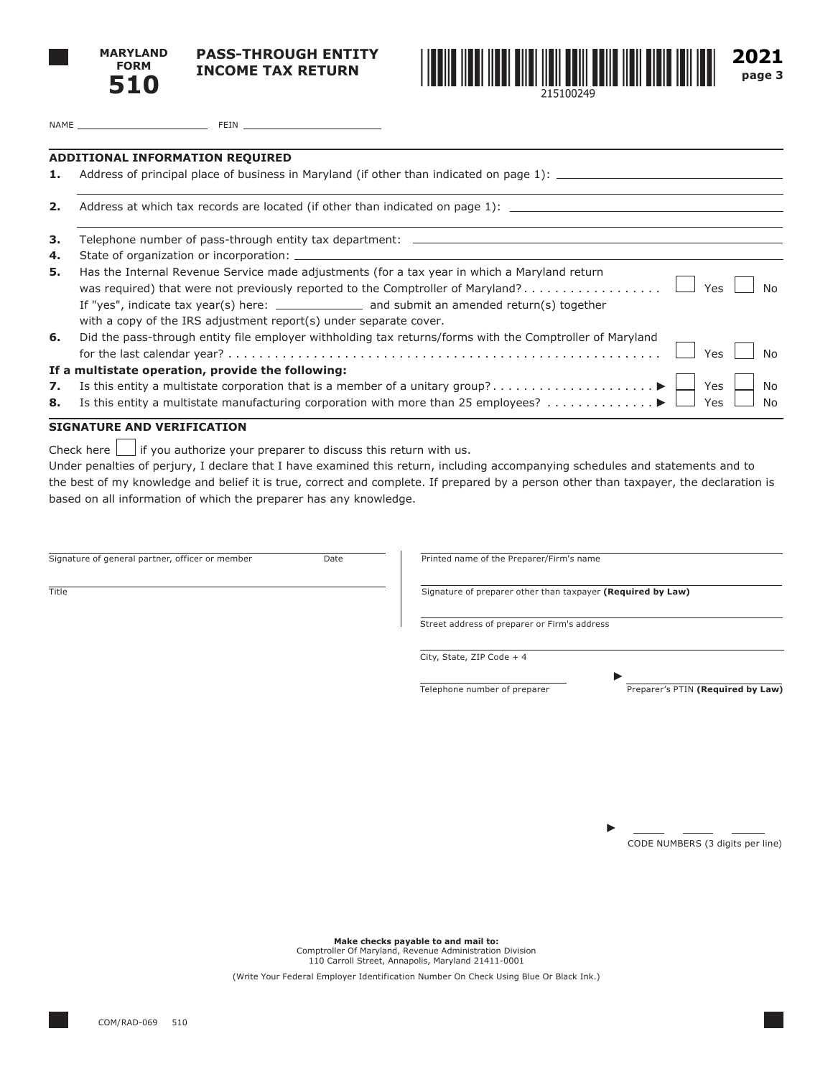

**PASS-THROUGH ENTITY INCOME TAX RETURN**



**2021 page 3**

NAME FEIN

#### **ADDITIONAL INFORMATION REQUIRED**

**1.** Address of principal place of business in Maryland (if other than indicated on page 1):  $\qquad$ 

**2.** Address at which tax records are located (if other than indicated on page 1):

|    | 3. Telephone number of pass-through entity tax department: ______________________                                                                                                                    |  |  |
|----|------------------------------------------------------------------------------------------------------------------------------------------------------------------------------------------------------|--|--|
| 4. |                                                                                                                                                                                                      |  |  |
| 5. | Has the Internal Revenue Service made adjustments (for a tax year in which a Maryland return<br>was required) that were not previously reported to the Comptroller of Maryland? $\Box$ Yes $\Box$ No |  |  |
|    | If "yes", indicate tax year(s) here: _________________ and submit an amended return(s) together                                                                                                      |  |  |
|    | with a copy of the IRS adjustment report(s) under separate cover.                                                                                                                                    |  |  |
| 6. | Did the pass-through entity file employer withholding tax returns/forms with the Comptroller of Maryland                                                                                             |  |  |
|    | If a multistate operation, provide the following:                                                                                                                                                    |  |  |
|    |                                                                                                                                                                                                      |  |  |
|    |                                                                                                                                                                                                      |  |  |

#### **SIGNATURE AND VERIFICATION**

Check here  $\bigsqcup$  if you authorize your preparer to discuss this return with us.

Under penalties of perjury, I declare that I have examined this return, including accompanying schedules and statements and to the best of my knowledge and belief it is true, correct and complete. If prepared by a person other than taxpayer, the declaration is based on all information of which the preparer has any knowledge.

| Signature of general partner, officer or member | Date | Printed name of the Preparer/Firm's name                    |                                   |
|-------------------------------------------------|------|-------------------------------------------------------------|-----------------------------------|
| Title                                           |      | Signature of preparer other than taxpayer (Required by Law) |                                   |
|                                                 |      | Street address of preparer or Firm's address                |                                   |
|                                                 |      | City, State, ZIP Code + 4                                   |                                   |
|                                                 |      | Telephone number of preparer                                | Preparer's PTIN (Required by Law) |
|                                                 |      |                                                             |                                   |
|                                                 |      |                                                             |                                   |
|                                                 |      |                                                             |                                   |
|                                                 |      |                                                             |                                   |
|                                                 |      |                                                             | CODE NUMBERS (3 digits per line)  |
|                                                 |      |                                                             |                                   |

**Make checks payable to and mail to:** Comptroller Of Maryland, Revenue Administration Division 110 Carroll Street, Annapolis, Maryland 21411-0001

(Write Your Federal Employer Identification Number On Check Using Blue Or Black Ink.)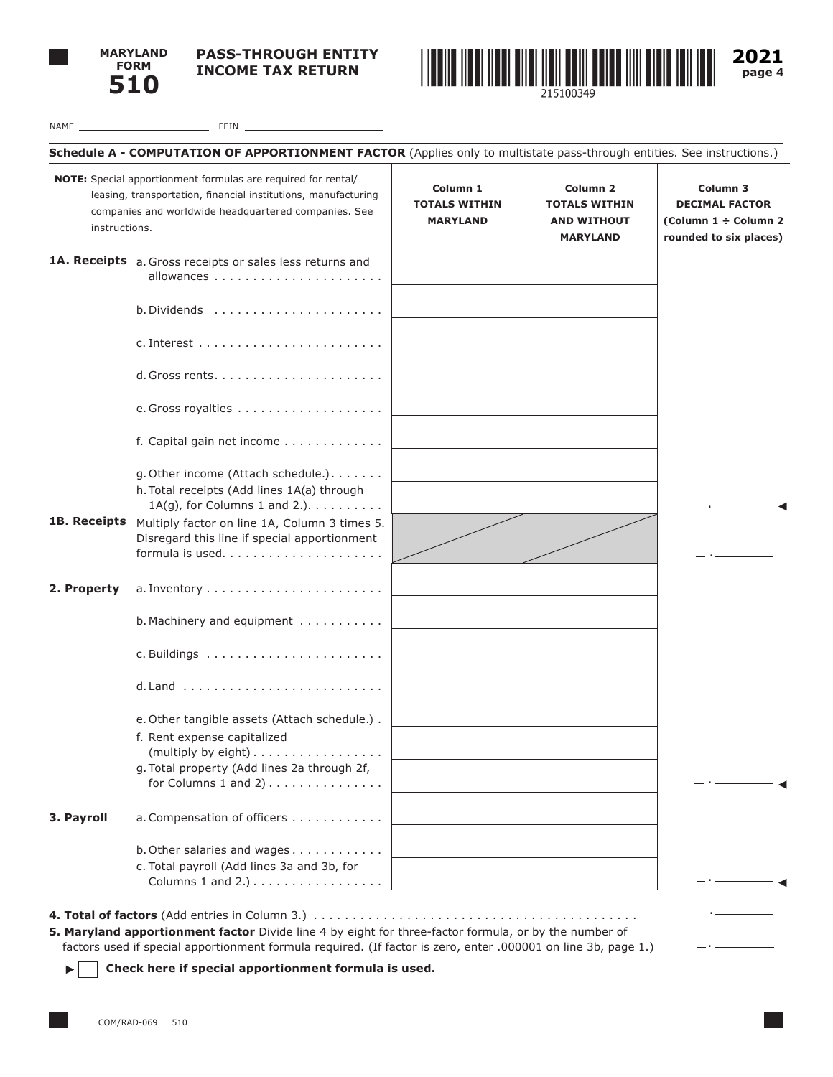

**PASS-THROUGH ENTITY INCOME TAX RETURN**



**2021 page 4**

| NAME | FEIN |  |
|------|------|--|
|      |      |  |

| instructions. | NOTE: Special apportionment formulas are required for rental/<br>Column 1<br>leasing, transportation, financial institutions, manufacturing<br><b>TOTALS WITHIN</b><br>companies and worldwide headquartered companies. See<br><b>MARYLAND</b> |  | Column <sub>2</sub><br><b>TOTALS WITHIN</b><br><b>AND WITHOUT</b><br><b>MARYLAND</b> | Column 3<br><b>DECIMAL FACTOR</b><br>(Column 1 ÷ Column 2<br>rounded to six places) |
|---------------|------------------------------------------------------------------------------------------------------------------------------------------------------------------------------------------------------------------------------------------------|--|--------------------------------------------------------------------------------------|-------------------------------------------------------------------------------------|
|               | 1A. Receipts a. Gross receipts or sales less returns and                                                                                                                                                                                       |  |                                                                                      |                                                                                     |
|               |                                                                                                                                                                                                                                                |  |                                                                                      |                                                                                     |
|               |                                                                                                                                                                                                                                                |  |                                                                                      |                                                                                     |
|               |                                                                                                                                                                                                                                                |  |                                                                                      |                                                                                     |
|               |                                                                                                                                                                                                                                                |  |                                                                                      |                                                                                     |
|               | f. Capital gain net income                                                                                                                                                                                                                     |  |                                                                                      |                                                                                     |
|               | g. Other income (Attach schedule.).<br>h. Total receipts (Add lines 1A(a) through<br>$1A(g)$ , for Columns 1 and 2.). $\ldots \ldots \ldots$                                                                                                   |  |                                                                                      |                                                                                     |
| 1B. Receipts  | Multiply factor on line 1A, Column 3 times 5.<br>Disregard this line if special apportionment                                                                                                                                                  |  |                                                                                      |                                                                                     |
| 2. Property   |                                                                                                                                                                                                                                                |  |                                                                                      |                                                                                     |
|               | b. Machinery and equipment                                                                                                                                                                                                                     |  |                                                                                      |                                                                                     |
|               |                                                                                                                                                                                                                                                |  |                                                                                      |                                                                                     |
|               |                                                                                                                                                                                                                                                |  |                                                                                      |                                                                                     |
|               | e. Other tangible assets (Attach schedule.).<br>f. Rent expense capitalized<br>(multiply by eight)<br>g. Total property (Add lines 2a through 2f,                                                                                              |  |                                                                                      |                                                                                     |
| 3. Payroll    | for Columns $1$ and $2)$<br>a. Compensation of officers                                                                                                                                                                                        |  |                                                                                      |                                                                                     |
|               | b. Other salaries and wages<br>c. Total payroll (Add lines 3a and 3b, for<br>Columns 1 and 2.) $\dots \dots \dots \dots \dots$                                                                                                                 |  |                                                                                      |                                                                                     |

factors used if special apportionment formula required. (If factor is zero, enter .000001 on line 3b, page 1.)

**Check here if special apportionment formula is used.**

 $\blacktriangleright$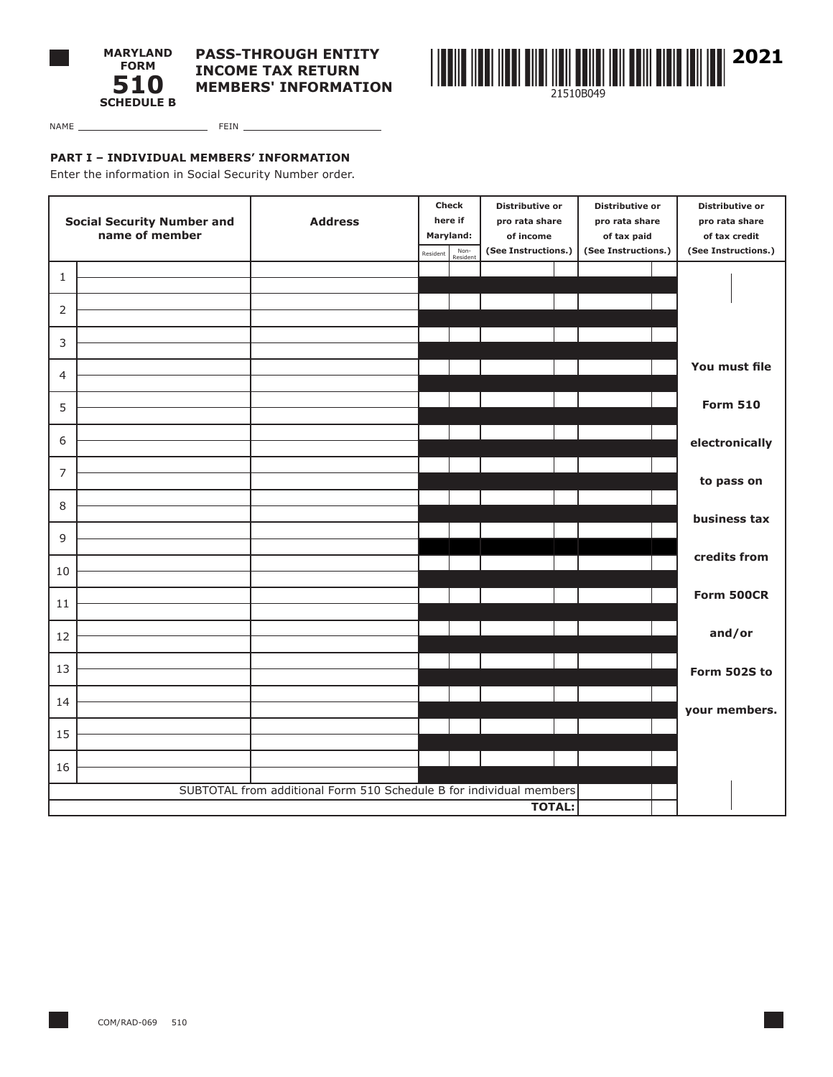



NAME FEIN

**PART I – INDIVIDUAL MEMBERS' INFORMATION**

Enter the information in Social Security Number order.

| <b>Social Security Number and</b><br>name of member |  |                                                                     |           | <b>Check</b>     | Distributive or<br>pro rata share |  | Distributive or<br>pro rata share |  | Distributive or     |
|-----------------------------------------------------|--|---------------------------------------------------------------------|-----------|------------------|-----------------------------------|--|-----------------------------------|--|---------------------|
|                                                     |  | <b>Address</b>                                                      | here if   |                  |                                   |  |                                   |  | pro rata share      |
|                                                     |  |                                                                     | Maryland: |                  | of income                         |  | of tax paid                       |  | of tax credit       |
|                                                     |  |                                                                     | Resident  | Non-<br>Resident | (See Instructions.)               |  | (See Instructions.)               |  | (See Instructions.) |
| $\mathbf{1}$                                        |  |                                                                     |           |                  |                                   |  |                                   |  |                     |
|                                                     |  |                                                                     |           |                  |                                   |  |                                   |  |                     |
| 2                                                   |  |                                                                     |           |                  |                                   |  |                                   |  |                     |
| 3                                                   |  |                                                                     |           |                  |                                   |  |                                   |  |                     |
| $\overline{4}$                                      |  |                                                                     |           |                  |                                   |  |                                   |  | You must file       |
|                                                     |  |                                                                     |           |                  |                                   |  |                                   |  |                     |
| 5                                                   |  |                                                                     |           |                  |                                   |  |                                   |  | <b>Form 510</b>     |
| 6                                                   |  |                                                                     |           |                  |                                   |  |                                   |  | electronically      |
| $\overline{7}$                                      |  |                                                                     |           |                  |                                   |  |                                   |  |                     |
|                                                     |  |                                                                     |           |                  |                                   |  |                                   |  | to pass on          |
| 8                                                   |  |                                                                     |           |                  |                                   |  |                                   |  | business tax        |
| 9                                                   |  |                                                                     |           |                  |                                   |  |                                   |  |                     |
| 10                                                  |  |                                                                     |           |                  |                                   |  |                                   |  | credits from        |
| 11                                                  |  |                                                                     |           |                  |                                   |  |                                   |  | Form 500CR          |
|                                                     |  |                                                                     |           |                  |                                   |  |                                   |  |                     |
| 12                                                  |  |                                                                     |           |                  |                                   |  |                                   |  | and/or              |
| 13                                                  |  |                                                                     |           |                  |                                   |  |                                   |  | Form 502S to        |
| 14                                                  |  |                                                                     |           |                  |                                   |  |                                   |  |                     |
|                                                     |  |                                                                     |           |                  |                                   |  |                                   |  | your members.       |
| 15                                                  |  |                                                                     |           |                  |                                   |  |                                   |  |                     |
| 16                                                  |  |                                                                     |           |                  |                                   |  |                                   |  |                     |
|                                                     |  | SUBTOTAL from additional Form 510 Schedule B for individual members |           |                  |                                   |  |                                   |  |                     |
|                                                     |  |                                                                     |           |                  | <b>TOTAL:</b>                     |  |                                   |  |                     |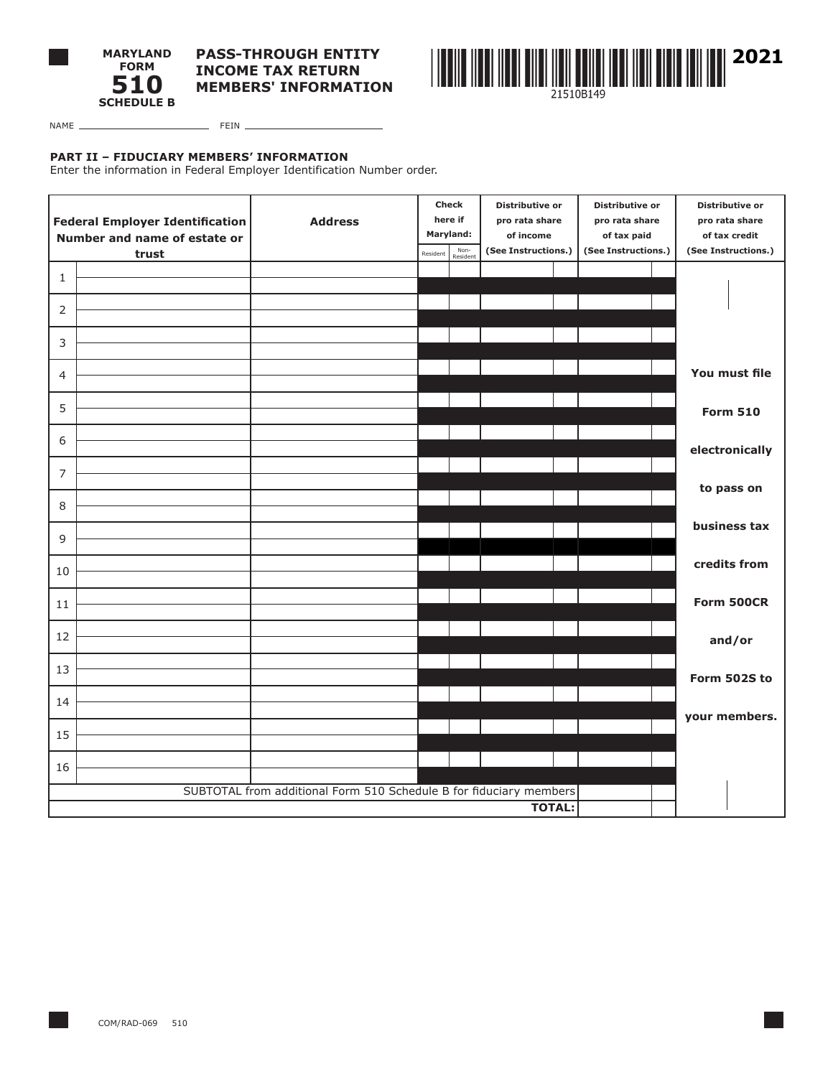



NAME FEIN

### **PART II – FIDUCIARY MEMBERS' INFORMATION**

Enter the information in Federal Employer Identification Number order.

|                | <b>Federal Employer Identification</b><br>Number and name of estate or<br>trust | <b>Address</b>                                                     | Resident | <b>Check</b><br>here if<br>Maryland:<br>Non- | Distributive or<br>pro rata share<br>of income<br>(See Instructions.) | Distributive or<br>pro rata share<br>of tax paid<br>(See Instructions.) | Distributive or<br>pro rata share<br>of tax credit<br>(See Instructions.) |
|----------------|---------------------------------------------------------------------------------|--------------------------------------------------------------------|----------|----------------------------------------------|-----------------------------------------------------------------------|-------------------------------------------------------------------------|---------------------------------------------------------------------------|
| 1              |                                                                                 |                                                                    |          | Resident                                     |                                                                       |                                                                         |                                                                           |
| 2              |                                                                                 |                                                                    |          |                                              |                                                                       |                                                                         |                                                                           |
| 3              |                                                                                 |                                                                    |          |                                              |                                                                       |                                                                         |                                                                           |
| $\overline{4}$ |                                                                                 |                                                                    |          |                                              |                                                                       |                                                                         | You must file                                                             |
| 5              |                                                                                 |                                                                    |          |                                              |                                                                       |                                                                         |                                                                           |
|                |                                                                                 |                                                                    |          |                                              |                                                                       |                                                                         | <b>Form 510</b>                                                           |
| 6              |                                                                                 |                                                                    |          |                                              |                                                                       |                                                                         | electronically                                                            |
| 7              |                                                                                 |                                                                    |          |                                              |                                                                       |                                                                         | to pass on                                                                |
| 8              |                                                                                 |                                                                    |          |                                              |                                                                       |                                                                         | business tax                                                              |
| 9              |                                                                                 |                                                                    |          |                                              |                                                                       |                                                                         |                                                                           |
| 10             |                                                                                 |                                                                    |          |                                              |                                                                       |                                                                         | credits from                                                              |
| 11             |                                                                                 |                                                                    |          |                                              |                                                                       |                                                                         | Form 500CR                                                                |
| 12             |                                                                                 |                                                                    |          |                                              |                                                                       |                                                                         | and/or                                                                    |
| 13             |                                                                                 |                                                                    |          |                                              |                                                                       |                                                                         | Form 502S to                                                              |
| 14             |                                                                                 |                                                                    |          |                                              |                                                                       |                                                                         |                                                                           |
| 15             |                                                                                 |                                                                    |          |                                              |                                                                       |                                                                         | your members.                                                             |
| 16             |                                                                                 |                                                                    |          |                                              |                                                                       |                                                                         |                                                                           |
|                |                                                                                 | SUBTOTAL from additional Form 510 Schedule B for fiduciary members |          |                                              |                                                                       |                                                                         |                                                                           |
|                |                                                                                 |                                                                    |          |                                              | <b>TOTAL:</b>                                                         |                                                                         |                                                                           |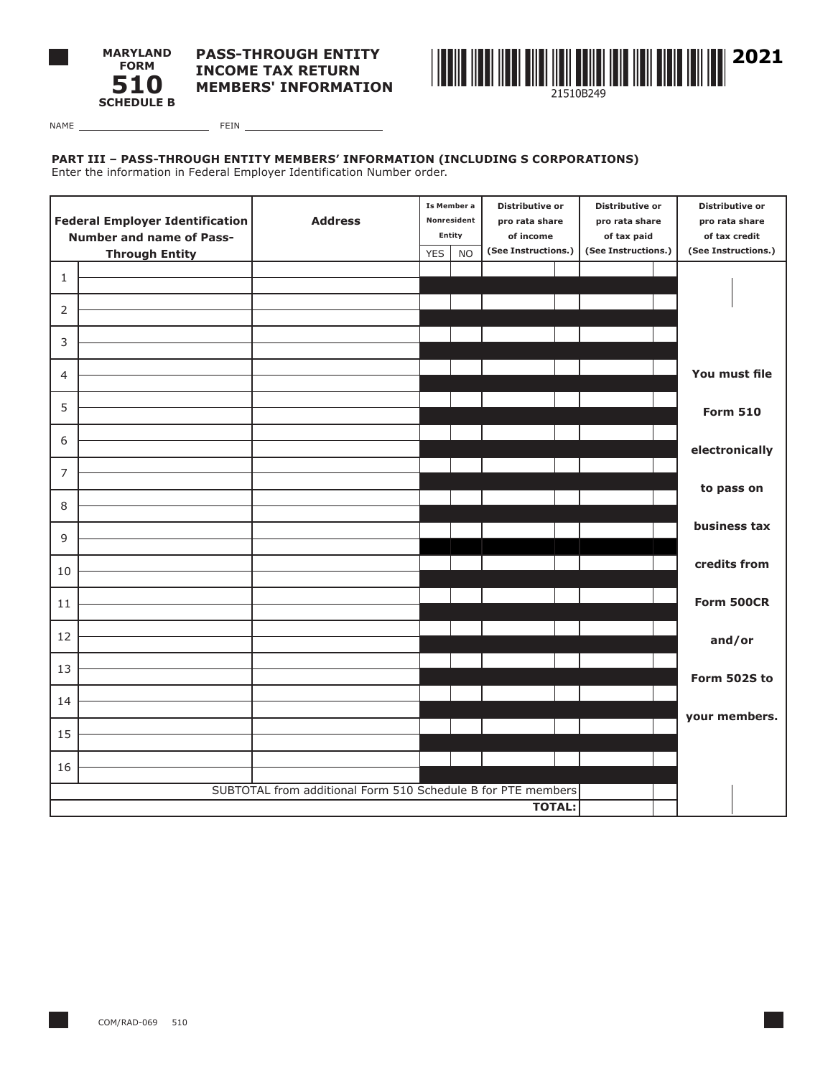



NAME FEIN

# **PART III – PASS-THROUGH ENTITY MEMBERS' INFORMATION (INCLUDING S CORPORATIONS)**

Enter the information in Federal Employer Identification Number order.

| <b>Federal Employer Identification</b><br><b>Number and name of Pass-</b> |                       | <b>Address</b>                                               | Is Member a<br>Nonresident<br>Entity |  | Distributive or<br>pro rata share<br>of income | Distributive or<br>pro rata share<br>of tax paid | Distributive or<br>pro rata share<br>of tax credit |
|---------------------------------------------------------------------------|-----------------------|--------------------------------------------------------------|--------------------------------------|--|------------------------------------------------|--------------------------------------------------|----------------------------------------------------|
|                                                                           | <b>Through Entity</b> |                                                              | <b>YES</b><br><b>NO</b>              |  | (See Instructions.)                            | (See Instructions.)                              | (See Instructions.)                                |
| 1                                                                         |                       |                                                              |                                      |  |                                                |                                                  |                                                    |
|                                                                           |                       |                                                              |                                      |  |                                                |                                                  |                                                    |
| 2                                                                         |                       |                                                              |                                      |  |                                                |                                                  |                                                    |
| 3                                                                         |                       |                                                              |                                      |  |                                                |                                                  |                                                    |
| 4                                                                         |                       |                                                              |                                      |  |                                                |                                                  | You must file                                      |
| 5                                                                         |                       |                                                              |                                      |  |                                                |                                                  | <b>Form 510</b>                                    |
| 6                                                                         |                       |                                                              |                                      |  |                                                |                                                  | electronically                                     |
| 7                                                                         |                       |                                                              |                                      |  |                                                |                                                  | to pass on                                         |
| 8                                                                         |                       |                                                              |                                      |  |                                                |                                                  |                                                    |
| 9                                                                         |                       |                                                              |                                      |  |                                                |                                                  | business tax                                       |
| 10                                                                        |                       |                                                              |                                      |  |                                                |                                                  | credits from                                       |
| 11                                                                        |                       |                                                              |                                      |  |                                                |                                                  | Form 500CR                                         |
| 12                                                                        |                       |                                                              |                                      |  |                                                |                                                  | and/or                                             |
| 13                                                                        |                       |                                                              |                                      |  |                                                |                                                  | Form 502S to                                       |
| 14                                                                        |                       |                                                              |                                      |  |                                                |                                                  | your members.                                      |
| 15                                                                        |                       |                                                              |                                      |  |                                                |                                                  |                                                    |
| 16                                                                        |                       |                                                              |                                      |  |                                                |                                                  |                                                    |
|                                                                           |                       | SUBTOTAL from additional Form 510 Schedule B for PTE members |                                      |  |                                                |                                                  |                                                    |
|                                                                           |                       |                                                              |                                      |  | <b>TOTAL:</b>                                  |                                                  |                                                    |